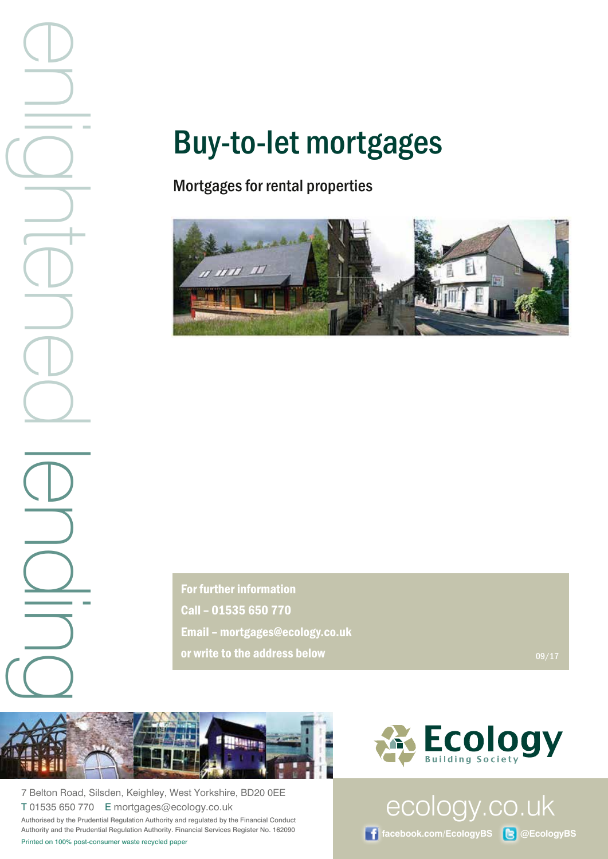**Printed on 100% post-consumer waste recycled paper**<br>  $\frac{1}{\sqrt{2}}$ <br>  $\frac{1}{\sqrt{2}}$ <br>  $\frac{1}{\sqrt{2}}$ <br>  $\frac{1}{\sqrt{2}}$ <br>  $\frac{1}{\sqrt{2}}$ <br>  $\frac{1}{\sqrt{2}}$ <br>  $\frac{1}{\sqrt{2}}$ <br>  $\frac{1}{\sqrt{2}}$ <br>  $\frac{1}{\sqrt{2}}$ <br>  $\frac{1}{\sqrt{2}}$ <br>  $\frac{1}{\sqrt{2}}$ <br>  $\frac{1}{\sqrt{2}}$ <br>

# Buy-to-let mortgages

# Mortgages for rental properties



For further information Call – 01535 650 770 Email – mortgages@ecology.co.uk or write to the address below 09/17



7 Belton Road, Silsden, Keighley, West Yorkshire, BD20 0EE T 01535 650 770 E mortgages@ecology.co.uk Authorised by the Prudential Regulation Authority and regulated by the Financial Conduct Authority and the Prudential Regulation Authority. Financial Services Register No. 162090



ecology.co.uk

**facebook.com/EcologyBS @EcologyBS**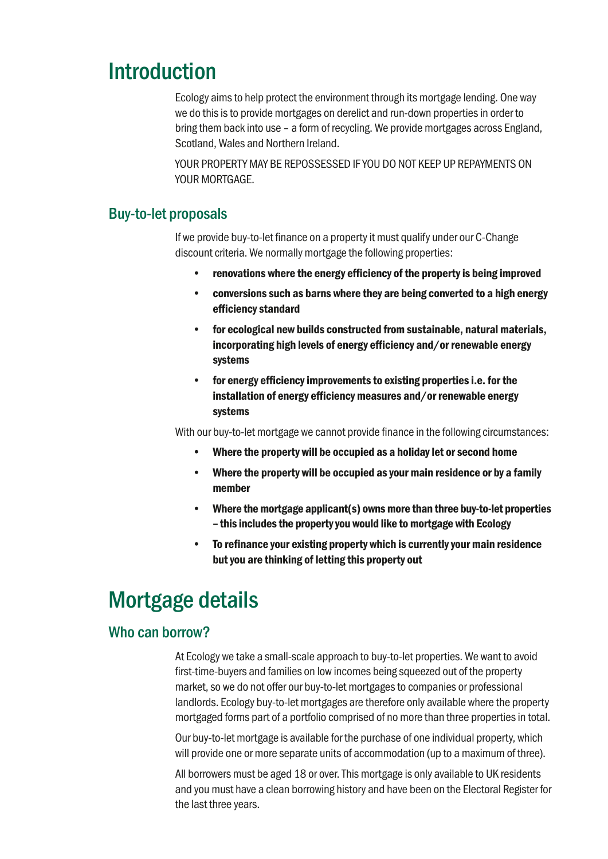# Introduction

Ecology aims to help protect the environment through its mortgage lending. One way we do this is to provide mortgages on derelict and run-down properties in order to bring them back into use – a form of recycling. We provide mortgages across England, Scotland, Wales and Northern Ireland.

YOUR PROPERTY MAY BE REPOSSESSED IF YOU DO NOT KEEP UP REPAYMENTS ON YOUR MORTGAGE.

#### Buy-to-let proposals

If we provide buy-to-let finance on a property it must qualify under our C-Change discount criteria. We normally mortgage the following properties:

- renovations where the energy efficiency of the property is being improved
- conversions such as barns where they are being converted to a high energy efficiency standard
- for ecological new builds constructed from sustainable, natural materials, incorporating high levels of energy efficiency and/or renewable energy systems
- for energy efficiency improvements to existing properties i.e. for the installation of energy efficiency measures and/or renewable energy systems

With our buy-to-let mortgage we cannot provide finance in the following circumstances:

- Where the property will be occupied as a holiday let or second home
- Where the property will be occupied as your main residence or by a family member
- Where the mortgage applicant(s) owns more than three buy-to-let properties – this includes the property you would like to mortgage with Ecology
- To refinance your existing property which is currently your main residence but you are thinking of letting this property out

# Mortgage details

### Who can borrow?

At Ecology we take a small-scale approach to buy-to-let properties. We want to avoid first-time-buyers and families on low incomes being squeezed out of the property market, so we do not offer our buy-to-let mortgages to companies or professional landlords. Ecology buy-to-let mortgages are therefore only available where the property mortgaged forms part of a portfolio comprised of no more than three properties in total.

Our buy-to-let mortgage is available for the purchase of one individual property, which will provide one or more separate units of accommodation (up to a maximum of three).

All borrowers must be aged 18 or over. This mortgage is only available to UK residents and you must have a clean borrowing history and have been on the Electoral Register for the last three years.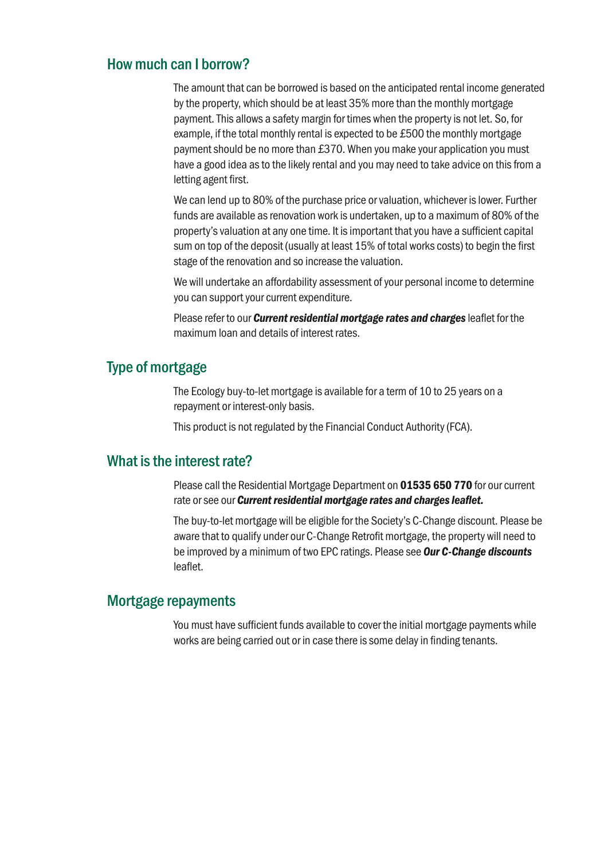#### How much can I borrow?

The amount that can be borrowed is based on the anticipated rental income generated by the property, which should be at least 35% more than the monthly mortgage payment. This allows a safety margin for times when the property is not let. So, for example, if the total monthly rental is expected to be £500 the monthly mortgage payment should be no more than £370. When you make your application you must have a good idea as to the likely rental and you may need to take advice on this from a letting agent first.

We can lend up to 80% of the purchase price or valuation, whichever is lower. Further funds are available as renovation work is undertaken, up to a maximum of 80% of the property's valuation at any one time. It is important that you have a sufficient capital sum on top of the deposit (usually at least 15% of total works costs) to begin the first stage of the renovation and so increase the valuation.

We will undertake an affordability assessment of your personal income to determine you can support your current expenditure.

Please refer to our *Current residential mortgage rates and charges* leaflet for the maximum loan and details of interest rates.

# Type of mortgage

The Ecology buy-to-let mortgage is available for a term of 10 to 25 years on a repayment or interest-only basis.

This product is not regulated by the Financial Conduct Authority (FCA).

#### What is the interest rate?

Please call the Residential Mortgage Department on 01535 650 770 for our current rate or see our *Current residential mortgage rates and charges leaflet.*

The buy-to-let mortgage will be eligible for the Society's C-Change discount. Please be aware that to qualify under our C-Change Retrofit mortgage, the property will need to be improved by a minimum of two EPC ratings. Please see *Our C-Change discounts*  leaflet.

#### Mortgage repayments

You must have sufficient funds available to cover the initial mortgage payments while works are being carried out or in case there is some delay in finding tenants.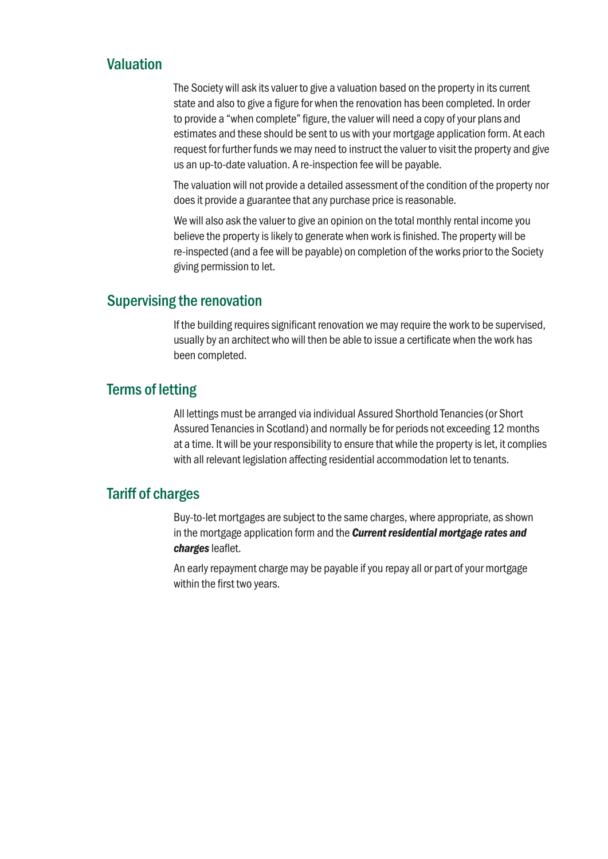### Valuation

The Society will ask its valuer to give a valuation based on the property in its current state and also to give a figure for when the renovation has been completed. In order to provide a "when complete" figure, the valuer will need a copy of your plans and estimates and these should be sent to us with your mortgage application form. At each request for further funds we may need to instruct the valuer to visit the property and give us an up-to-date valuation. A re-inspection fee will be payable.

The valuation will not provide a detailed assessment of the condition of the property nor does it provide a guarantee that any purchase price is reasonable.

We will also ask the valuer to give an opinion on the total monthly rental income you believe the property is likely to generate when work is finished. The property will be re-inspected (and a fee will be payable) on completion of the works prior to the Society giving permission to let.

#### Supervising the renovation

If the building requires significant renovation we may require the work to be supervised, usually by an architect who will then be able to issue a certificate when the work has been completed.

### Terms of letting

All lettings must be arranged via individual Assured Shorthold Tenancies (or Short Assured Tenancies in Scotland) and normally be for periods not exceeding 12 months at a time. It will be your responsibility to ensure that while the property is let, it complies with all relevant legislation affecting residential accommodation let to tenants.

## Tariff of charges

Buy-to-let mortgages are subject to the same charges, where appropriate, as shown in the mortgage application form and the *Current residential mortgage rates and charges* leaflet.

An early repayment charge may be payable if you repay all or part of your mortgage within the first two years.